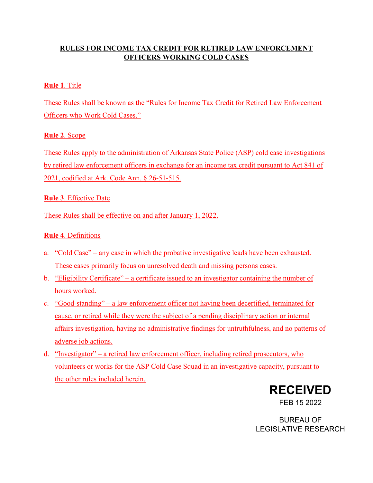## **RULES FOR INCOME TAX CREDIT FOR RETIRED LAW ENFORCEMENT OFFICERS WORKING COLD CASES**

## **Rule 1**. Title

These Rules shall be known as the "Rules for Income Tax Credit for Retired Law Enforcement Officers who Work Cold Cases."

# **Rule 2**. Scope

These Rules apply to the administration of Arkansas State Police (ASP) cold case investigations by retired law enforcement officers in exchange for an income tax credit pursuant to Act 841 of 2021, codified at Ark. Code Ann. § 26-51-515.

# **Rule 3**. Effective Date

These Rules shall be effective on and after January 1, 2022.

# **Rule 4**. Definitions

- a. "Cold Case" any case in which the probative investigative leads have been exhausted. These cases primarily focus on unresolved death and missing persons cases.
- b. "Eligibility Certificate" a certificate issued to an investigator containing the number of hours worked.
- c. "Good-standing" a law enforcement officer not having been decertified, terminated for cause, or retired while they were the subject of a pending disciplinary action or internal affairs investigation, having no administrative findings for untruthfulness, and no patterns of adverse job actions.
- d. "Investigator" a retired law enforcement officer, including retired prosecutors, who volunteers or works for the ASP Cold Case Squad in an investigative capacity, pursuant to the other rules included herein.



BUREAU OF LEGISLATIVE RESEARCH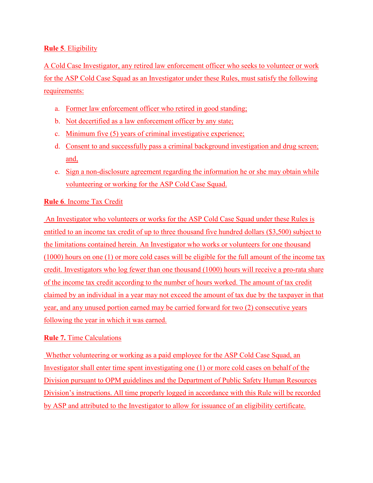#### **Rule 5**. Eligibility

A Cold Case Investigator, any retired law enforcement officer who seeks to volunteer or work for the ASP Cold Case Squad as an Investigator under these Rules, must satisfy the following requirements:

- a. Former law enforcement officer who retired in good standing;
- b. Not decertified as a law enforcement officer by any state;
- c. Minimum five (5) years of criminal investigative experience;
- d. Consent to and successfully pass a criminal background investigation and drug screen; and,
- e. Sign a non-disclosure agreement regarding the information he or she may obtain while volunteering or working for the ASP Cold Case Squad.

### **Rule 6**. Income Tax Credit

 An Investigator who volunteers or works for the ASP Cold Case Squad under these Rules is entitled to an income tax credit of up to three thousand five hundred dollars (\$3,500) subject to the limitations contained herein. An Investigator who works or volunteers for one thousand (1000) hours on one (1) or more cold cases will be eligible for the full amount of the income tax credit. Investigators who log fewer than one thousand (1000) hours will receive a pro-rata share of the income tax credit according to the number of hours worked. The amount of tax credit claimed by an individual in a year may not exceed the amount of tax due by the taxpayer in that year, and any unused portion earned may be carried forward for two (2) consecutive years following the year in which it was earned.

#### **Rule 7.** Time Calculations

Whether volunteering or working as a paid employee for the ASP Cold Case Squad, an Investigator shall enter time spent investigating one (1) or more cold cases on behalf of the Division pursuant to OPM guidelines and the Department of Public Safety Human Resources Division's instructions. All time properly logged in accordance with this Rule will be recorded by ASP and attributed to the Investigator to allow for issuance of an eligibility certificate.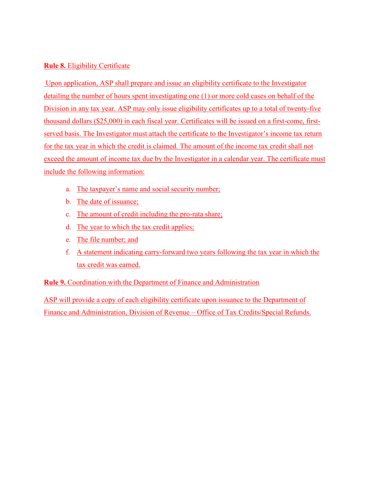### **Rule 8.** Eligibility Certificate

 Upon application, ASP shall prepare and issue an eligibility certificate to the Investigator detailing the number of hours spent investigating one (1) or more cold cases on behalf of the Division in any tax year. ASP may only issue eligibility certificates up to a total of twenty-five thousand dollars (\$25,000) in each fiscal year. Certificates will be issued on a first-come, firstserved basis. The Investigator must attach the certificate to the Investigator's income tax return for the tax year in which the credit is claimed. The amount of the income tax credit shall not exceed the amount of income tax due by the Investigator in a calendar year. The certificate must include the following information:

- a. The taxpayer's name and social security number;
- b. The date of issuance;
- c. The amount of credit including the pro-rata share;
- d. The year to which the tax credit applies;
- e. The file number; and
- f. A statement indicating carry-forward two years following the tax year in which the tax credit was earned.

**Rule 9.** Coordination with the Department of Finance and Administration

ASP will provide a copy of each eligibility certificate upon issuance to the Department of Finance and Administration, Division of Revenue – Office of Tax Credits/Special Refunds.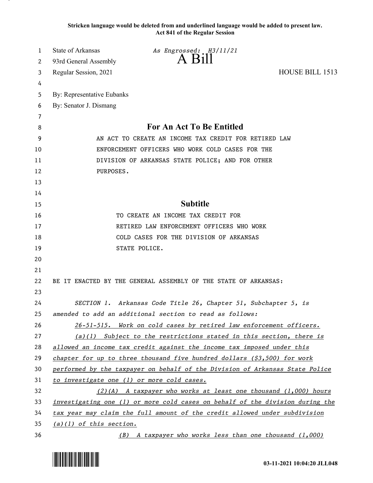**Stricken language would be deleted from and underlined language would be added to present law. Act 841 of the Regular Session**

| 1  | <b>State of Arkansas</b>                         | As Engrossed: H3/11/21                                                        |                 |
|----|--------------------------------------------------|-------------------------------------------------------------------------------|-----------------|
| 2  | 93rd General Assembly                            | $A$ Bill                                                                      |                 |
| 3  | Regular Session, 2021                            |                                                                               | HOUSE BILL 1513 |
| 4  |                                                  |                                                                               |                 |
| 5  | By: Representative Eubanks                       |                                                                               |                 |
| 6  | By: Senator J. Dismang                           |                                                                               |                 |
| 7  |                                                  |                                                                               |                 |
| 8  |                                                  | For An Act To Be Entitled                                                     |                 |
| 9  |                                                  | AN ACT TO CREATE AN INCOME TAX CREDIT FOR RETIRED LAW                         |                 |
| 10 | ENFORCEMENT OFFICERS WHO WORK COLD CASES FOR THE |                                                                               |                 |
| 11 |                                                  | DIVISION OF ARKANSAS STATE POLICE; AND FOR OTHER                              |                 |
| 12 | PURPOSES.                                        |                                                                               |                 |
| 13 |                                                  |                                                                               |                 |
| 14 |                                                  |                                                                               |                 |
| 15 |                                                  | <b>Subtitle</b>                                                               |                 |
| 16 |                                                  | TO CREATE AN INCOME TAX CREDIT FOR                                            |                 |
| 17 |                                                  | RETIRED LAW ENFORCEMENT OFFICERS WHO WORK                                     |                 |
| 18 |                                                  | COLD CASES FOR THE DIVISION OF ARKANSAS                                       |                 |
| 19 |                                                  | STATE POLICE.                                                                 |                 |
| 20 |                                                  |                                                                               |                 |
| 21 |                                                  |                                                                               |                 |
| 22 |                                                  | BE IT ENACTED BY THE GENERAL ASSEMBLY OF THE STATE OF ARKANSAS:               |                 |
| 23 |                                                  |                                                                               |                 |
| 24 |                                                  | SECTION 1. Arkansas Code Title 26, Chapter 51, Subchapter 5, is               |                 |
| 25 |                                                  | amended to add an additional section to read as follows:                      |                 |
| 26 |                                                  | 26-51-515. Work on cold cases by retired law enforcement officers.            |                 |
| 27 |                                                  | $(a)(1)$ Subject to the restrictions stated in this section, there is         |                 |
| 28 |                                                  | allowed an income tax credit against the income tax imposed under this        |                 |
| 29 |                                                  | chapter for up to three thousand five hundred dollars $(33,500)$ for work     |                 |
| 30 |                                                  | performed by the taxpayer on behalf of the Division of Arkansas State Police  |                 |
| 31 |                                                  | to investigate one (1) or more cold cases.                                    |                 |
| 32 |                                                  | $(2)(A)$ A taxpayer who works at least one thousand $(1,000)$ hours           |                 |
| 33 |                                                  | investigating one (1) or more cold cases on behalf of the division during the |                 |
| 34 |                                                  | tax year may claim the full amount of the credit allowed under subdivision    |                 |
| 35 | $(a)(1)$ of this section.                        |                                                                               |                 |
| 36 |                                                  | (B) A taxpayer who works less than one thousand (1,000)                       |                 |

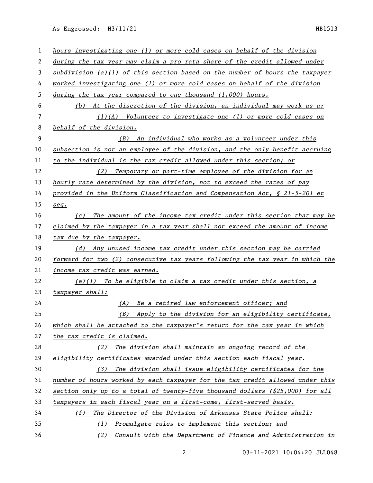As Engrossed: H3/11/21 HB1513

| 1  | hours investigating one (1) or more cold cases on behalf of the division      |  |  |
|----|-------------------------------------------------------------------------------|--|--|
| 2  | during the tax year may claim a pro rata share of the credit allowed under    |  |  |
| 3  | subdivision (a)(1) of this section based on the number of hours the taxpayer  |  |  |
| 4  | worked investigating one (1) or more cold cases on behalf of the division     |  |  |
| 5  | during the tax year compared to one thousand $(1,000)$ hours.                 |  |  |
| 6  | At the discretion of the division, an individual may work as a:<br>(b)        |  |  |
| 7  | $(1)(A)$ Volunteer to investigate one (1) or more cold cases on               |  |  |
| 8  | behalf of the division.                                                       |  |  |
| 9  | (B) An individual who works as a volunteer under this                         |  |  |
| 10 | subsection is not an employee of the division, and the only benefit accruing  |  |  |
| 11 | to the individual is the tax credit allowed under this section; or            |  |  |
| 12 | (2) Temporary or part-time employee of the division for an                    |  |  |
| 13 | hourly rate determined by the division, not to exceed the rates of pay        |  |  |
| 14 | provided in the Uniform Classification and Compensation Act, $\S$ 21-5-201 et |  |  |
| 15 | seq.                                                                          |  |  |
| 16 | (c) The amount of the income tax credit under this section that may be        |  |  |
| 17 | claimed by the taxpayer in a tax year shall not exceed the amount of income   |  |  |
| 18 | tax due by the taxpayer.                                                      |  |  |
| 19 | (d) Any unused income tax credit under this section may be carried            |  |  |
| 20 | forward for two (2) consecutive tax years following the tax year in which the |  |  |
| 21 | income tax credit was earned.                                                 |  |  |
| 22 | $(e)(1)$ To be eligible to claim a tax credit under this section, a           |  |  |
| 23 | taxpayer shall:                                                               |  |  |
| 24 | (A) Be a retired law enforcement officer; and                                 |  |  |
| 25 | Apply to the division for an eligibility certificate,<br>(B)                  |  |  |
| 26 | which shall be attached to the taxpayer's return for the tax year in which    |  |  |
| 27 | the tax credit is claimed.                                                    |  |  |
| 28 | (2) The division shall maintain an ongoing record of the                      |  |  |
| 29 | eligibility certificates awarded under this section each fiscal year.         |  |  |
| 30 | (3) The division shall issue eligibility certificates for the                 |  |  |
| 31 | number of hours worked by each taxpayer for the tax credit allowed under this |  |  |
| 32 | section only up to a total of twenty-five thousand dollars (\$25,000) for all |  |  |
| 33 | taxpayers in each fiscal year on a first-come, first-served basis.            |  |  |
| 34 | The Director of the Division of Arkansas State Police shall:<br>(f)           |  |  |
| 35 | (1) Promulgate rules to implement this section; and                           |  |  |
| 36 | (2) Consult with the Department of Finance and Administration in              |  |  |

03-11-2021 10:04:20 JLL048